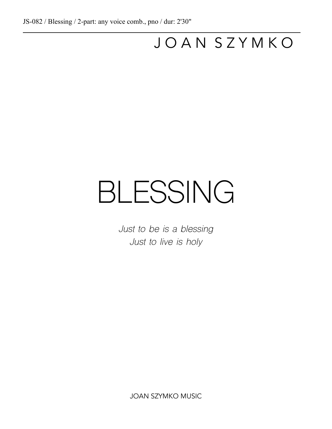$\overline{a}$ 

## J O A N S Z Y M K O

## BLESSING

*Just to be is a blessing Just to live is holy*

JOAN SZYMKO MUSIC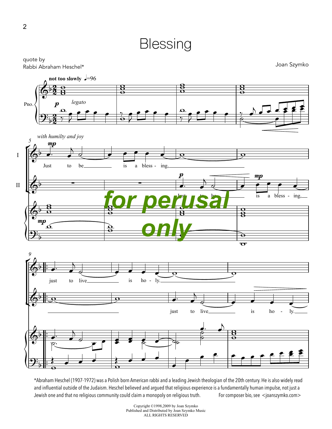



\*Abraham Heschel (1907-1972) was a Polish born American rabbi and a leading Jewish theologian of the 20th century. He is also widely read and influential outside of the Judaism. Heschel believed and argued that religious experience is a fundamentally human impulse, not just a Jewish one and that no religious community could claim a monopoly on religious truth. For composer bio, see <joanszymko.com>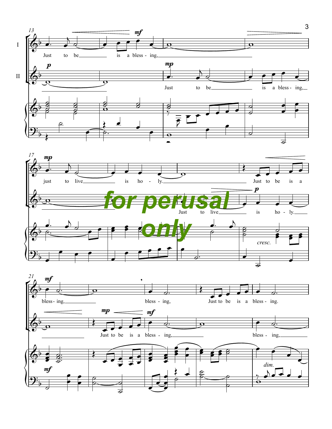